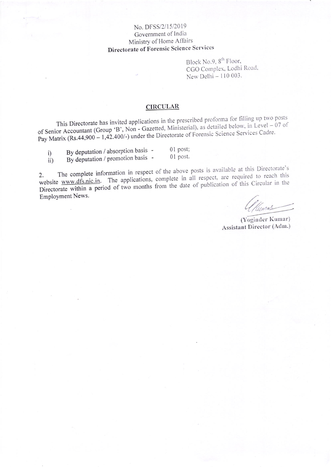### No. DFSS/2/15/2019 Government of India Ministry of Home Affairs Directorate of Forensic Science Services

Block No.9, 8<sup>th</sup> Floor, CGO Complex, Lodhi Road, New Delhi - 110 003.

#### **CIRCULAR**

This Directorate has invited applications in the prescribed proforma for filling up two posts of Senior Accountant (Group 'B', Non - Gazetted, Ministerial), as detailed below, in Level - 07 of Pay Matrix (Rs.44,900 - 1,42.400/-) under the Directorate of Forensic Science Services Cadre.

| i)  | By deputation / absorption basis - | $01$ post; |
|-----|------------------------------------|------------|
| ii) | By deputation / promotion basis -  | 01 post.   |

The complete information in respect of the above posts is available at this Directorate's website www.dfs.nic.in. The applications, complete in all respect, are required to reach this Directorate within a period of two months from the date of publication of this Circular in the Employment News.

unas

(Yoginder Kumar) Assistant Director (Adm.)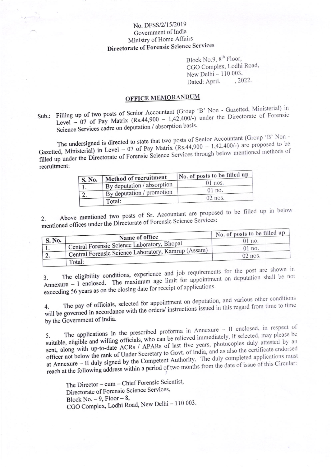## No. DFSS/2/15/2019 Government of India Ministry of Home Affairs Directorate of Forensic Science Services

Block No.9, 8<sup>th</sup> Floor, CGO Complex, Lodhi Road, New Delhi - 110 003.  $.2022.$ Dated: April.

# **OFFICE MEMORANDUM**

Sub.: Filling up of two posts of Senior Accountant (Group 'B' Non - Gazetted, Ministerial) in Level - 07 of Pay Matrix (Rs.44,900 - 1,42.400/-) under the Directorate of Forensic Science Services cadre on deputation / absorption basis.

The undersigned is directed to state that two posts of Senior Accountant (Group 'B' Non -Gazetted, Ministerial) in Level - 07 of Pay Matrix  $(Rs.44,900 - 1,42.400/-)$  are proposed to be filled up under the Directorate of Forensic Science Services through below mentioned methods of recruitment:

|        | Method of recruitment      | No. of posts to be filled up |  |
|--------|----------------------------|------------------------------|--|
| S. No. | By deputation / absorption | $01$ nos.                    |  |
|        | By deputation / promotion  | $01$ no.                     |  |
| z.     |                            | $02$ nos.                    |  |
|        | Total:                     |                              |  |

Above mentioned two posts of Sr. Accountant are proposed to be filled up in below mentioned offices under the Directorate of Forensic Science Services:

|           |                                                     | No. of posts to be filled up |
|-----------|-----------------------------------------------------|------------------------------|
| S. No.    | Name of office                                      | $01$ no.                     |
|           | Central Forensic Science Laboratory, Bhopal         | $01$ no.                     |
| <u>L.</u> | Central Forensic Science Laboratory, Kamrup (Assam) | $02$ nos.                    |
|           | Total:                                              |                              |

The eligibility conditions, experience and job requirements for the post are shown in Annexure  $-$  I enclosed. The maximum age limit for appointment on deputation shall be not exceeding 56 years as on the closing date for receipt of applications.

The pay of officials, selected for appointment on deputation, and various other conditions will be governed in accordance with the orders/ instructions issued in this regard from time to time by the Government of India.

The applications in the prescribed proforma in Annexure - II enclosed, in respect of suitable, eligible and willing officials, who can be relieved immediately, if selected, may please be sent, along with up-to-date ACRs / APARs of last five years, photocopies duly attested by an officer not below the rank of Under Secretary to Govt. of India, and as also the certificate endorsed at Annexure - II duly signed by the Competent Authority. The duly completed applications must reach at the following address within a period of two months from the date of issue of this Circular:

The Director - cum - Chief Forensic Scientist, Directorate of Forensic Science Services, Block No.  $-9$ , Floor  $-8$ , CGO Complex, Lodhi Road, New Delhi - 110 003.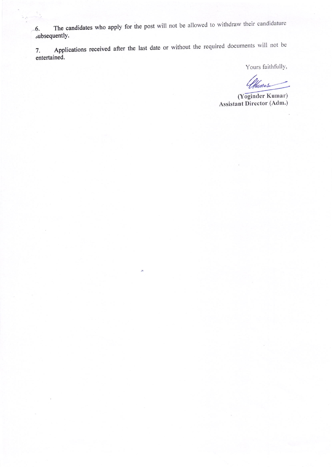The candidates who apply for the post will not be allowed to withdraw their candidature 6. subsequently.

Applications received after the last date or without the required documents will not be 7. entertained.

Yours faithfully,

<u>Numas</u>

(Yoginder Kumar) Assistant Director (Adm.)